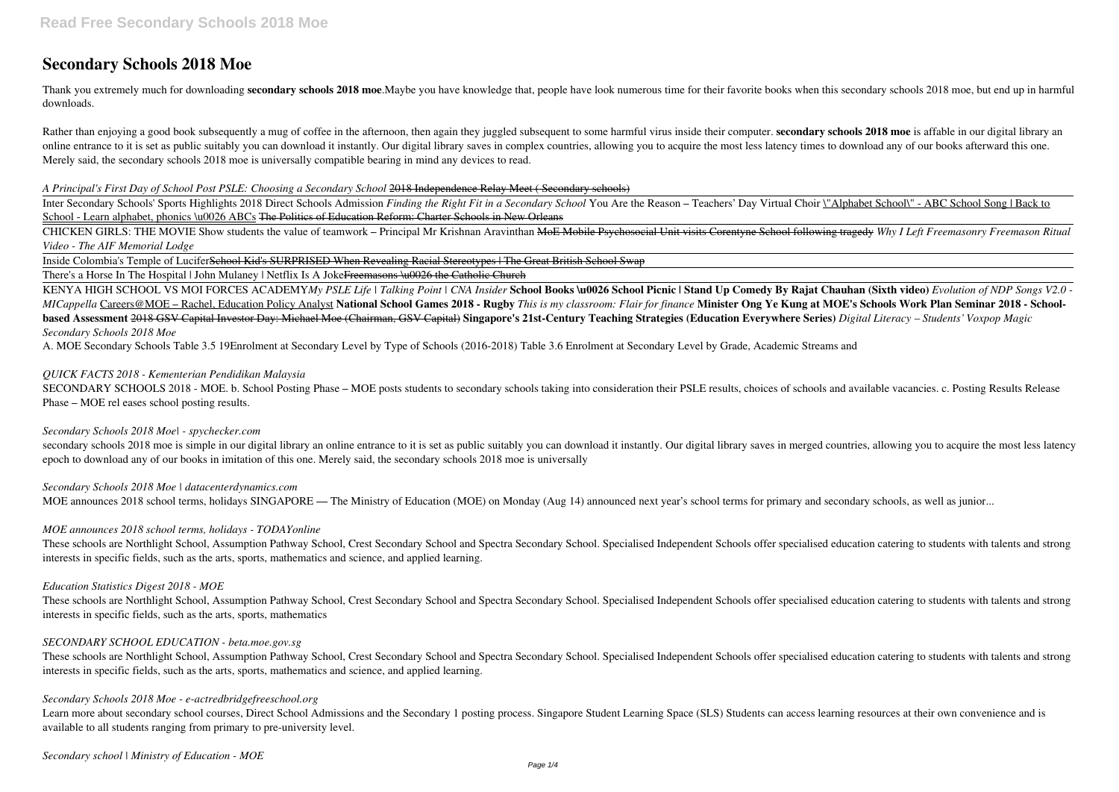# **Secondary Schools 2018 Moe**

Thank you extremely much for downloading **secondary schools 2018 moe**.Maybe you have knowledge that, people have look numerous time for their favorite books when this secondary schools 2018 moe, but end up in harmful downloads.

Rather than enjoying a good book subsequently a mug of coffee in the afternoon, then again they juggled subsequent to some harmful virus inside their computer. secondary schools 2018 moe is affable in our digital library a online entrance to it is set as public suitably you can download it instantly. Our digital library saves in complex countries, allowing you to acquire the most less latency times to download any of our books afterward this Merely said, the secondary schools 2018 moe is universally compatible bearing in mind any devices to read.

Inter Secondary Schools' Sports Highlights 2018 Direct Schools Admission *Finding the Right Fit in a Secondary School* You Are the Reason – Teachers' Day Virtual Choir \"Alphabet School\" - ABC School Song | Back to School - Learn alphabet, phonics \u0026 ABCs The Politics of Education Reform: Charter Schools in New Orleans

#### *A Principal's First Day of School Post PSLE: Choosing a Secondary School* 2018 Independence Relay Meet ( Secondary schools)

CHICKEN GIRLS: THE MOVIE Show students the value of teamwork – Principal Mr Krishnan Aravinthan MoE Mobile Psychosocial Unit visits Corentyne School following tragedy *Why I Left Freemasonry Freemason Ritual Video - The AIF Memorial Lodge*

Inside Colombia's Temple of LuciferSchool Kid's SURPRISED When Revealing Racial Stereotypes | The Great British School Swap

There's a Horse In The Hospital | John Mulaney | Netflix Is A Joke<del>Freemasons \u0026 the Catholic Church</del>

secondary schools 2018 moe is simple in our digital library an online entrance to it is set as public suitably you can download it instantly. Our digital library saves in merged countries, allowing you to acquire the most epoch to download any of our books in imitation of this one. Merely said, the secondary schools 2018 moe is universally

*Secondary Schools 2018 Moe | datacenterdynamics.com* MOE announces 2018 school terms, holidays SINGAPORE — The Ministry of Education (MOE) on Monday (Aug 14) announced next year's school terms for primary and secondary schools, as well as junior...

KENYA HIGH SCHOOL VS MOI FORCES ACADEMY*My PSLE Life | Talking Point | CNA Insider* **School Books \u0026 School Picnic | Stand Up Comedy By Rajat Chauhan (Sixth video)** *Evolution of NDP Songs V2.0 -* MICappella Careers@MOE - Rachel, Education Policy Analyst National School Games 2018 - Rugby This is my classroom: Flair for finance Minister Ong Ye Kung at MOE's Schools Work Plan Seminar 2018 - Schoolbased Assessment 2018 GSV Capital Investor Day: Michael Moe (Chairman, GSV Capital) Singapore's 21st-Century Teaching Strategies (Education Everywhere Series) Digital Literacy – Students' Voxpop Magic *Secondary Schools 2018 Moe*

A. MOE Secondary Schools Table 3.5 19Enrolment at Secondary Level by Type of Schools (2016-2018) Table 3.6 Enrolment at Secondary Level by Grade, Academic Streams and

#### *QUICK FACTS 2018 - Kementerian Pendidikan Malaysia*

SECONDARY SCHOOLS 2018 - MOE. b. School Posting Phase – MOE posts students to secondary schools taking into consideration their PSLE results, choices of schools and available vacancies. c. Posting Results Release Phase – MOE rel eases school posting results.

#### *Secondary Schools 2018 Moe| - spychecker.com*

## *MOE announces 2018 school terms, holidays - TODAYonline*

These schools are Northlight School, Assumption Pathway School, Crest Secondary School and Spectra Secondary School. Specialised Independent Schools offer specialised education catering to students with talents and strong interests in specific fields, such as the arts, sports, mathematics and science, and applied learning.

*Education Statistics Digest 2018 - MOE*

These schools are Northlight School, Assumption Pathway School, Crest Secondary School and Spectra Secondary School. Specialised Independent Schools offer specialised education catering to students with talents and strong interests in specific fields, such as the arts, sports, mathematics

## *SECONDARY SCHOOL EDUCATION - beta.moe.gov.sg*

These schools are Northlight School, Assumption Pathway School, Crest Secondary School and Spectra Secondary School. Specialised Independent Schools offer specialised education catering to students with talents and strong interests in specific fields, such as the arts, sports, mathematics and science, and applied learning.

## *Secondary Schools 2018 Moe - e-actredbridgefreeschool.org*

Learn more about secondary school courses, Direct School Admissions and the Secondary 1 posting process. Singapore Student Learning Space (SLS) Students can access learning resources at their own convenience and is available to all students ranging from primary to pre-university level.

*Secondary school | Ministry of Education - MOE*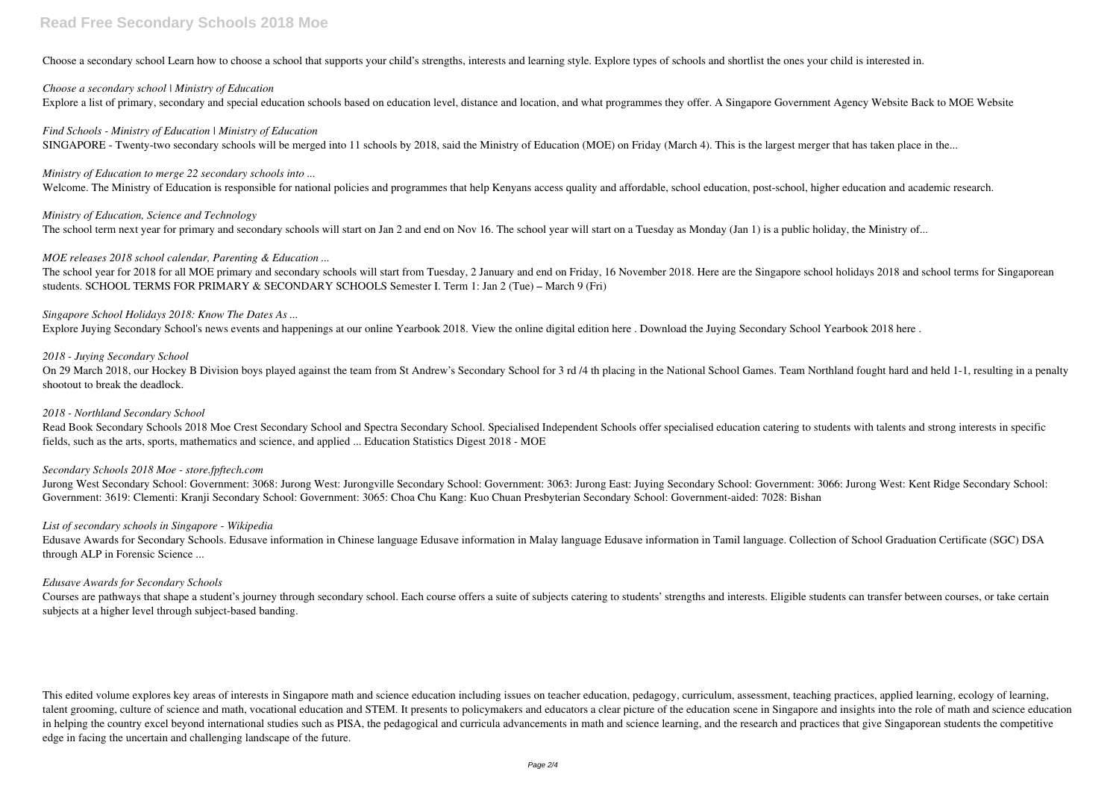## **Read Free Secondary Schools 2018 Moe**

Choose a secondary school Learn how to choose a school that supports your child's strengths, interests and learning style. Explore types of schools and shortlist the ones your child is interested in.

#### *Choose a secondary school | Ministry of Education*

Explore a list of primary, secondary and special education schools based on education level, distance and location, and what programmes they offer. A Singapore Government Agency Website Back to MOE Website

*Find Schools - Ministry of Education | Ministry of Education* SINGAPORE - Twenty-two secondary schools will be merged into 11 schools by 2018, said the Ministry of Education (MOE) on Friday (March 4). This is the largest merger that has taken place in the...

#### *Ministry of Education to merge 22 secondary schools into ...*

The school year for 2018 for all MOE primary and secondary schools will start from Tuesday, 2 January and end on Friday, 16 November 2018. Here are the Singapore school holidays 2018 and school terms for Singaporean students. SCHOOL TERMS FOR PRIMARY & SECONDARY SCHOOLS Semester I. Term 1: Jan 2 (Tue) – March 9 (Fri)

Welcome. The Ministry of Education is responsible for national policies and programmes that help Kenyans access quality and affordable, school education, post-school, higher education and academic research.

#### *Ministry of Education, Science and Technology*

The school term next year for primary and secondary schools will start on Jan 2 and end on Nov 16. The school year will start on a Tuesday as Monday (Jan 1) is a public holiday, the Ministry of...

On 29 March 2018, our Hockey B Division boys played against the team from St Andrew's Secondary School for 3 rd /4 th placing in the National School Games. Team Northland fought hard and held 1-1, resulting in a penalty shootout to break the deadlock.

Read Book Secondary Schools 2018 Moe Crest Secondary School and Spectra Secondary School. Specialised Independent Schools offer specialised education catering to students with talents and strong interests in specific fields, such as the arts, sports, mathematics and science, and applied ... Education Statistics Digest 2018 - MOE

#### *MOE releases 2018 school calendar, Parenting & Education ...*

#### *Singapore School Holidays 2018: Know The Dates As ...*

Courses are pathways that shape a student's journey through secondary school. Each course offers a suite of subjects catering to students' strengths and interests. Eligible students can transfer between courses, or take ce subjects at a higher level through subject-based banding.

Explore Juying Secondary School's news events and happenings at our online Yearbook 2018. View the online digital edition here . Download the Juying Secondary School Yearbook 2018 here .

#### *2018 - Juying Secondary School*

#### *2018 - Northland Secondary School*

## *Secondary Schools 2018 Moe - store.fpftech.com*

Jurong West Secondary School: Government: 3068: Jurong West: Jurongville Secondary School: Government: 3063: Jurong East: Juying Secondary School: Government: 3066: Jurong West: Kent Ridge Secondary School: Government: 3619: Clementi: Kranji Secondary School: Government: 3065: Choa Chu Kang: Kuo Chuan Presbyterian Secondary School: Government-aided: 7028: Bishan

## *List of secondary schools in Singapore - Wikipedia*

Edusave Awards for Secondary Schools. Edusave information in Chinese language Edusave information in Malay language Edusave information in Tamil language. Collection of School Graduation Certificate (SGC) DSA through ALP in Forensic Science ...

#### *Edusave Awards for Secondary Schools*

This edited volume explores key areas of interests in Singapore math and science education including issues on teacher education, pedagogy, curriculum, assessment, teaching practices, applied learning, ecology of learning, talent grooming, culture of science and math, vocational education and STEM. It presents to policymakers and educators a clear picture of the education scene in Singapore and insights into the role of math and science educ in helping the country excel beyond international studies such as PISA, the pedagogical and curricula advancements in math and science learning, and the research and practices that give Singaporean students the competitive edge in facing the uncertain and challenging landscape of the future.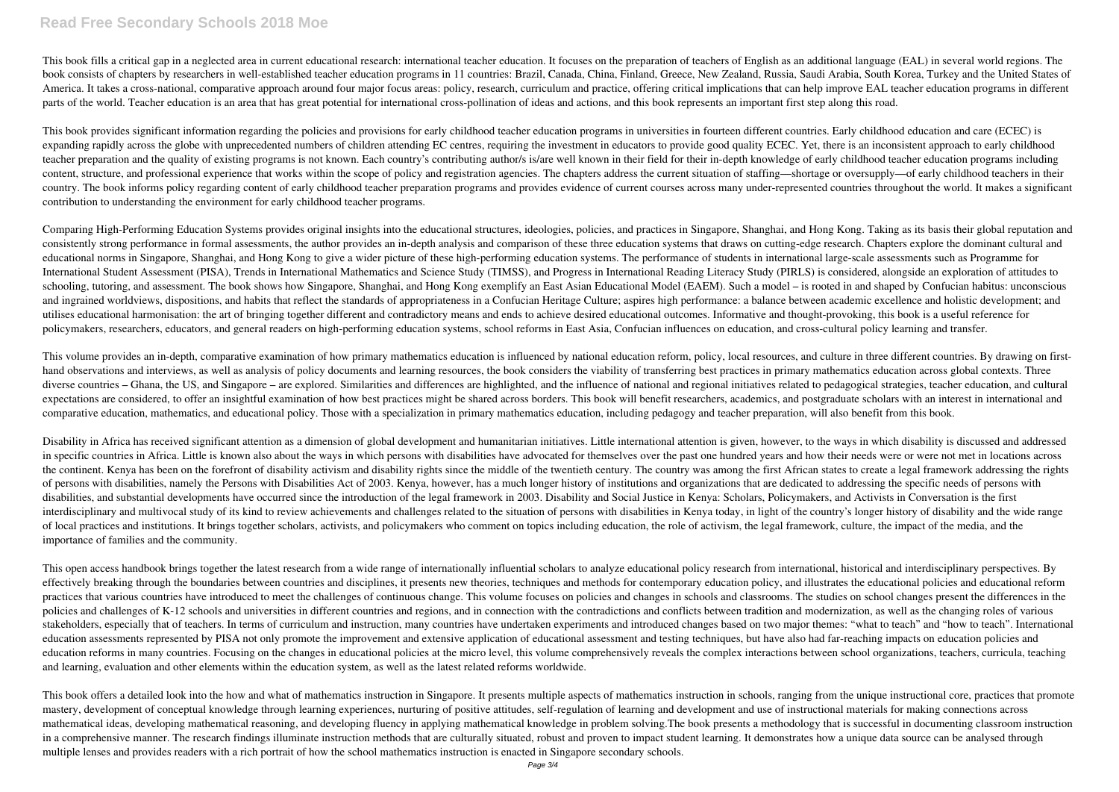## **Read Free Secondary Schools 2018 Moe**

This book fills a critical gap in a neglected area in current educational research: international teacher education. It focuses on the preparation of teachers of English as an additional language (EAL) in several world reg book consists of chapters by researchers in well-established teacher education programs in 11 countries: Brazil, Canada, China, Finland, Greece, New Zealand, Russia, Saudi Arabia, South Korea, Turkey and the United States of America. It takes a cross-national, comparative approach around four major focus areas: policy, research, curriculum and practice, offering critical implications that can help improve EAL teacher education programs in diff parts of the world. Teacher education is an area that has great potential for international cross-pollination of ideas and actions, and this book represents an important first step along this road.

This book provides significant information regarding the policies and provisions for early childhood teacher education programs in universities in fourteen different countries. Early childhood education and care (ECEC) is expanding rapidly across the globe with unprecedented numbers of children attending EC centres, requiring the investment in educators to provide good quality ECEC. Yet, there is an inconsistent approach to early childhood teacher preparation and the quality of existing programs is not known. Each country's contributing author/s is/are well known in their field for their in-depth knowledge of early childhood teacher education programs includ content, structure, and professional experience that works within the scope of policy and registration agencies. The chapters address the current situation of staffing—shortage or oversupply—of early childhood teachers in country. The book informs policy regarding content of early childhood teacher preparation programs and provides evidence of current courses across many under-represented countries throughout the world. It makes a significant contribution to understanding the environment for early childhood teacher programs.

Comparing High-Performing Education Systems provides original insights into the educational structures, ideologies, policies, and practices in Singapore, Shanghai, and Hong Kong. Taking as its basis their global reputation consistently strong performance in formal assessments, the author provides an in-depth analysis and comparison of these three education systems that draws on cutting-edge research. Chapters explore the dominant cultural and educational norms in Singapore, Shanghai, and Hong Kong to give a wider picture of these high-performing education systems. The performance of students in international large-scale assessments such as Programme for International Student Assessment (PISA), Trends in International Mathematics and Science Study (TIMSS), and Progress in International Reading Literacy Study (PIRLS) is considered, alongside an exploration of attitudes to schooling, tutoring, and assessment. The book shows how Singapore, Shanghai, and Hong Kong exemplify an East Asian Educational Model (EAEM). Such a model – is rooted in and shaped by Confucian habitus: unconscious and ingrained worldviews, dispositions, and habits that reflect the standards of appropriateness in a Confucian Heritage Culture; aspires high performance: a balance between academic excellence and holistic development; an utilises educational harmonisation: the art of bringing together different and contradictory means and ends to achieve desired educational outcomes. Informative and thought-provoking, this book is a useful reference for policymakers, researchers, educators, and general readers on high-performing education systems, school reforms in East Asia, Confucian influences on education, and cross-cultural policy learning and transfer.

This volume provides an in-depth, comparative examination of how primary mathematics education is influenced by national education reform, policy, local resources, and culture in three different countries. By drawing on fi hand observations and interviews, as well as analysis of policy documents and learning resources, the book considers the viability of transferring best practices in primary mathematics education across global contexts. Thr diverse countries – Ghana, the US, and Singapore – are explored. Similarities and differences are highlighted, and the influence of national and regional initiatives related to pedagogical strategies, teacher education, an expectations are considered, to offer an insightful examination of how best practices might be shared across borders. This book will benefit researchers, academics, and postgraduate scholars with an interest in internation comparative education, mathematics, and educational policy. Those with a specialization in primary mathematics education, including pedagogy and teacher preparation, will also benefit from this book.

Disability in Africa has received significant attention as a dimension of global development and humanitarian initiatives. Little international attention is given, however, to the ways in which disability is discussed and in specific countries in Africa. Little is known also about the ways in which persons with disabilities have advocated for themselves over the past one hundred years and how their needs were or were not met in locations ac the continent. Kenya has been on the forefront of disability activism and disability rights since the middle of the twentieth century. The country was among the first African states to create a legal framework addressing t of persons with disabilities, namely the Persons with Disabilities Act of 2003. Kenya, however, has a much longer history of institutions and organizations that are dedicated to addressing the specific needs of persons with disabilities, and substantial developments have occurred since the introduction of the legal framework in 2003. Disability and Social Justice in Kenya: Scholars, Policymakers, and Activists in Conversation is the first interdisciplinary and multivocal study of its kind to review achievements and challenges related to the situation of persons with disabilities in Kenya today, in light of the country's longer history of disability and the of local practices and institutions. It brings together scholars, activists, and policymakers who comment on topics including education, the role of activism, the legal framework, culture, the impact of the media, and the importance of families and the community.

This open access handbook brings together the latest research from a wide range of internationally influential scholars to analyze educational policy research from international, historical and interdisciplinary perspectiv effectively breaking through the boundaries between countries and disciplines, it presents new theories, techniques and methods for contemporary education policy, and illustrates the educational policies and educational re practices that various countries have introduced to meet the challenges of continuous change. This volume focuses on policies and changes in schools and classrooms. The studies on school changes present the differences in policies and challenges of K-12 schools and universities in different countries and regions, and in connection with the contradictions and conflicts between tradition and modernization, as well as the changing roles of var stakeholders, especially that of teachers. In terms of curriculum and instruction, many countries have undertaken experiments and introduced changes based on two major themes: "what to teach" and "how to teach". Internatio education assessments represented by PISA not only promote the improvement and extensive application of educational assessment and testing techniques, but have also had far-reaching impacts on education policies and education reforms in many countries. Focusing on the changes in educational policies at the micro level, this volume comprehensively reveals the complex interactions between school organizations, teachers, curricula, teach and learning, evaluation and other elements within the education system, as well as the latest related reforms worldwide.

This book offers a detailed look into the how and what of mathematics instruction in Singapore. It presents multiple aspects of mathematics instruction in schools, ranging from the unique instructional core, practices that mastery, development of conceptual knowledge through learning experiences, nurturing of positive attitudes, self-regulation of learning and development and use of instructional materials for making connections across mathematical ideas, developing mathematical reasoning, and developing fluency in applying mathematical knowledge in problem solving.The book presents a methodology that is successful in documenting classroom instruction in a comprehensive manner. The research findings illuminate instruction methods that are culturally situated, robust and proven to impact student learning. It demonstrates how a unique data source can be analysed through multiple lenses and provides readers with a rich portrait of how the school mathematics instruction is enacted in Singapore secondary schools.